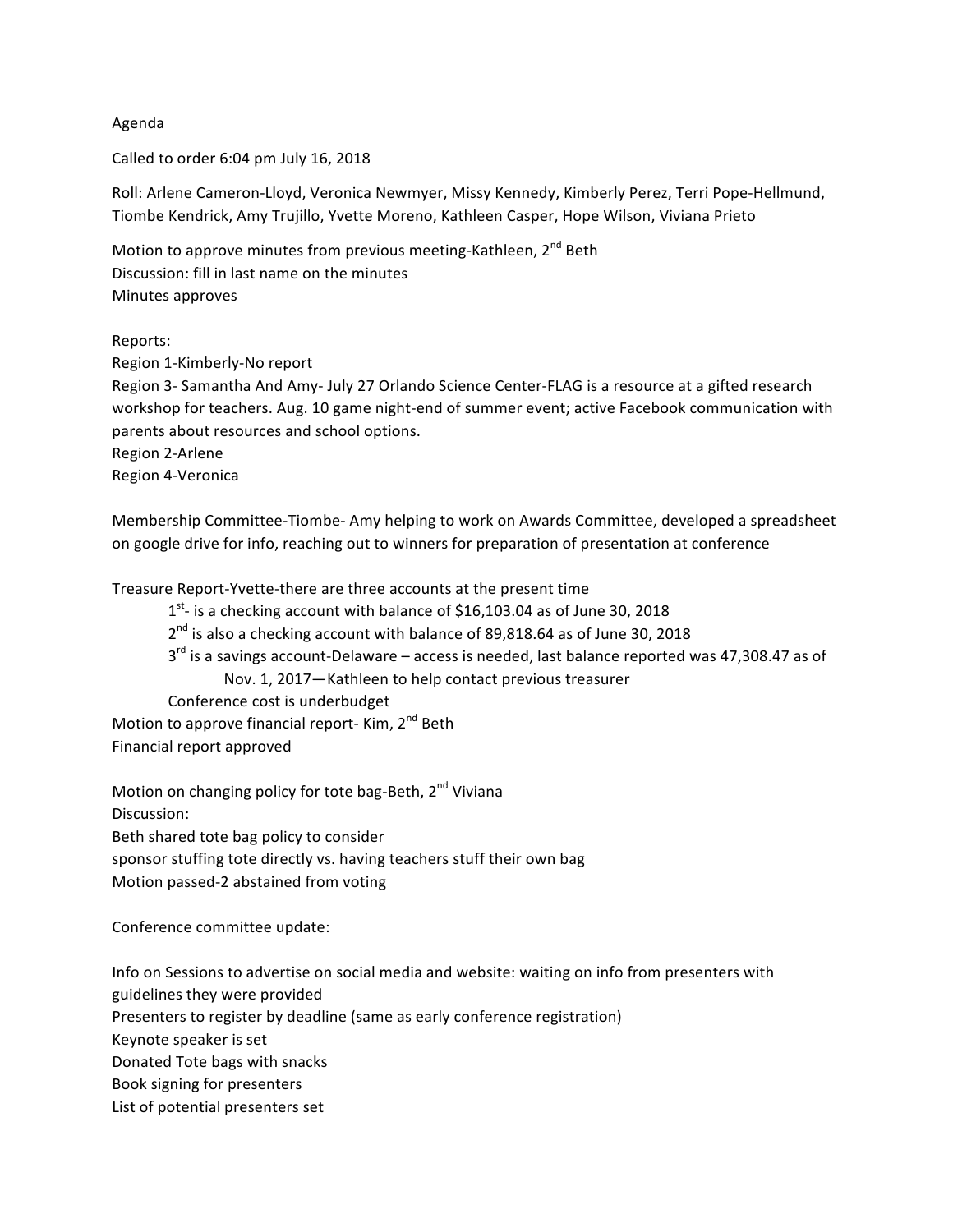## Agenda

Called to order 6:04 pm July 16, 2018

Roll: Arlene Cameron-Lloyd, Veronica Newmyer, Missy Kennedy, Kimberly Perez, Terri Pope-Hellmund, Tiombe Kendrick, Amy Trujillo, Yvette Moreno, Kathleen Casper, Hope Wilson, Viviana Prieto

Motion to approve minutes from previous meeting-Kathleen, 2<sup>nd</sup> Beth Discussion: fill in last name on the minutes Minutes approves

Reports:

Region 1-Kimberly-No report Region 3- Samantha And Amy- July 27 Orlando Science Center-FLAG is a resource at a gifted research workshop for teachers. Aug. 10 game night-end of summer event; active Facebook communication with parents about resources and school options. Region 2-Arlene Region 4-Veronica

Membership Committee-Tiombe- Amy helping to work on Awards Committee, developed a spreadsheet on google drive for info, reaching out to winners for preparation of presentation at conference

Treasure Report-Yvette-there are three accounts at the present time

 $1<sup>st</sup>$ - is a checking account with balance of \$16,103.04 as of June 30, 2018

- $2^{nd}$  is also a checking account with balance of 89,818.64 as of June 30, 2018
- $3<sup>rd</sup>$  is a savings account-Delaware access is needed, last balance reported was 47,308.47 as of Nov. 1, 2017-Kathleen to help contact previous treasurer

Conference cost is underbudget

Motion to approve financial report- Kim,  $2^{nd}$  Beth

Financial report approved

Motion on changing policy for tote bag-Beth, 2<sup>nd</sup> Viviana Discussion: Beth shared tote bag policy to consider sponsor stuffing tote directly vs. having teachers stuff their own bag Motion passed-2 abstained from voting

Conference committee update:

Info on Sessions to advertise on social media and website: waiting on info from presenters with guidelines they were provided

Presenters to register by deadline (same as early conference registration)

Keynote speaker is set

Donated Tote bags with snacks

Book signing for presenters

List of potential presenters set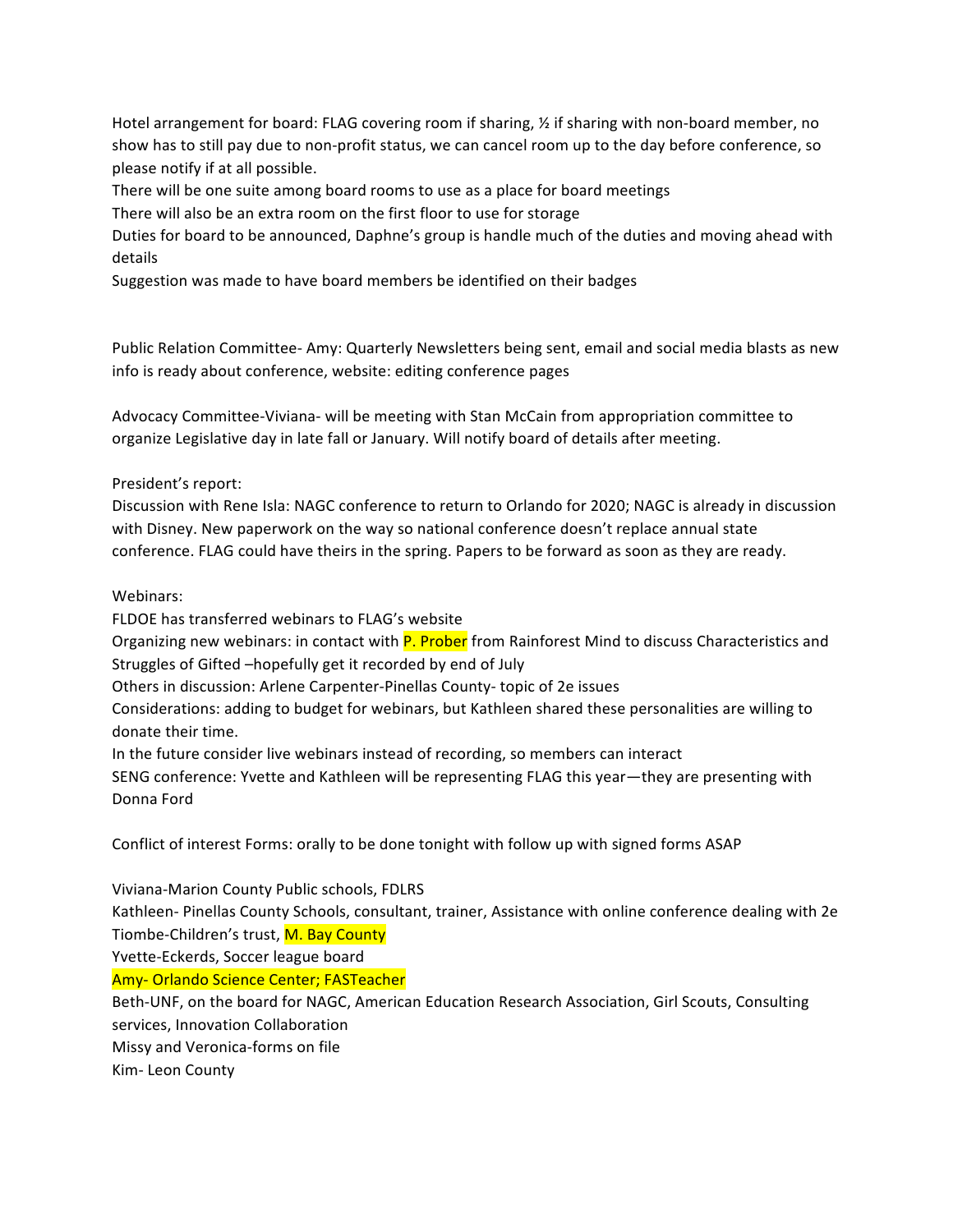Hotel arrangement for board: FLAG covering room if sharing,  $\frac{1}{2}$  if sharing with non-board member, no show has to still pay due to non-profit status, we can cancel room up to the day before conference, so please notify if at all possible.

There will be one suite among board rooms to use as a place for board meetings

There will also be an extra room on the first floor to use for storage

Duties for board to be announced, Daphne's group is handle much of the duties and moving ahead with details

Suggestion was made to have board members be identified on their badges

Public Relation Committee- Amy: Quarterly Newsletters being sent, email and social media blasts as new info is ready about conference, website: editing conference pages

Advocacy Committee-Viviana- will be meeting with Stan McCain from appropriation committee to organize Legislative day in late fall or January. Will notify board of details after meeting.

## President's report:

Discussion with Rene Isla: NAGC conference to return to Orlando for 2020; NAGC is already in discussion with Disney. New paperwork on the way so national conference doesn't replace annual state conference. FLAG could have theirs in the spring. Papers to be forward as soon as they are ready.

## Webinars:

FLDOE has transferred webinars to FLAG's website

Organizing new webinars: in contact with P. Prober from Rainforest Mind to discuss Characteristics and Struggles of Gifted -hopefully get it recorded by end of July

Others in discussion: Arlene Carpenter-Pinellas County- topic of 2e issues

Considerations: adding to budget for webinars, but Kathleen shared these personalities are willing to donate their time.

In the future consider live webinars instead of recording, so members can interact

SENG conference: Yvette and Kathleen will be representing FLAG this year—they are presenting with Donna Ford

Conflict of interest Forms: orally to be done tonight with follow up with signed forms ASAP

Viviana-Marion County Public schools, FDLRS

Kathleen- Pinellas County Schools, consultant, trainer, Assistance with online conference dealing with 2e Tiombe-Children's trust, M. Bay County

Yvette-Eckerds, Soccer league board

Amy- Orlando Science Center; FASTeacher

Beth-UNF, on the board for NAGC, American Education Research Association, Girl Scouts, Consulting services, Innovation Collaboration

Missy and Veronica-forms on file

Kim- Leon County